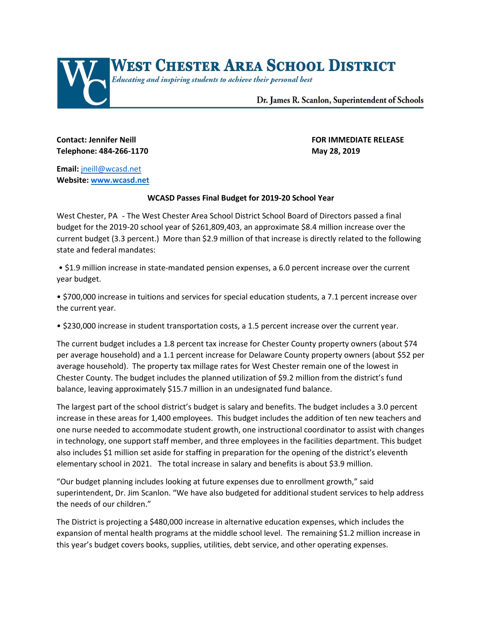

## **Contact: Jennifer Neill FOR IMMEDIATE RELEASE Telephone: 484-266-1170 May 28, 2019**

**Email:** [jneill@wcasd.net](mailto:jneill@wcasd.net) **Website: [www.wcasd.net](http://www.wcasd.net/)**

## **WCASD Passes Final Budget for 2019-20 School Year**

West Chester, PA - The West Chester Area School District School Board of Directors passed a final budget for the 2019-20 school year of \$261,809,403, an approximate \$8.4 million increase over the current budget (3.3 percent.) More than \$2.9 million of that increase is directly related to the following state and federal mandates:

• \$1.9 million increase in state-mandated pension expenses, a 6.0 percent increase over the current year budget.

• \$700,000 increase in tuitions and services for special education students, a 7.1 percent increase over the current year.

• \$230,000 increase in student transportation costs, a 1.5 percent increase over the current year.

The current budget includes a 1.8 percent tax increase for Chester County property owners (about \$74 per average household) and a 1.1 percent increase for Delaware County property owners (about \$52 per average household). The property tax millage rates for West Chester remain one of the lowest in Chester County. The budget includes the planned utilization of \$9.2 million from the district's fund balance, leaving approximately \$15.7 million in an undesignated fund balance.

The largest part of the school district's budget is salary and benefits. The budget includes a 3.0 percent increase in these areas for 1,400 employees. This budget includes the addition of ten new teachers and one nurse needed to accommodate student growth, one instructional coordinator to assist with changes in technology, one support staff member, and three employees in the facilities department. This budget also includes \$1 million set aside for staffing in preparation for the opening of the district's eleventh elementary school in 2021. The total increase in salary and benefits is about \$3.9 million.

"Our budget planning includes looking at future expenses due to enrollment growth," said superintendent, Dr. Jim Scanlon. "We have also budgeted for additional student services to help address the needs of our children."

The District is projecting a \$480,000 increase in alternative education expenses, which includes the expansion of mental health programs at the middle school level. The remaining \$1.2 million increase in this year's budget covers books, supplies, utilities, debt service, and other operating expenses.